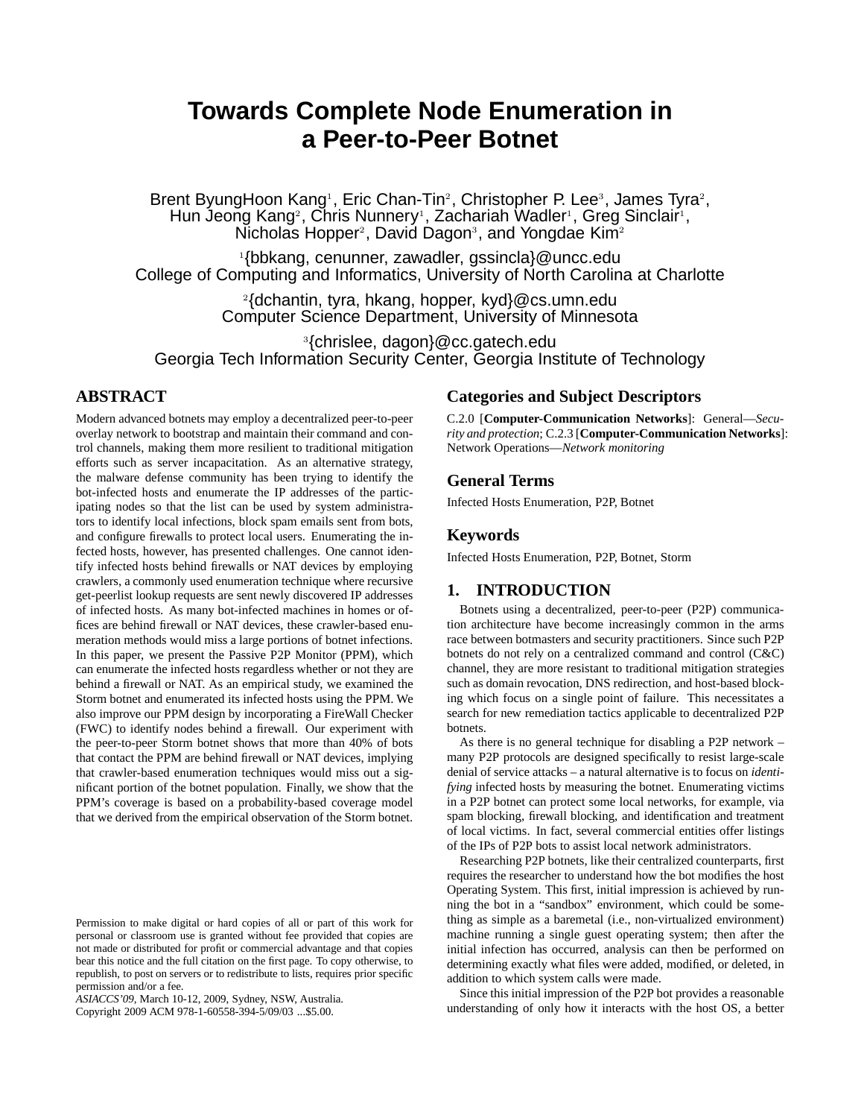# **Towards Complete Node Enumeration in a Peer-to-Peer Botnet**

Brent ByungHoon Kang<sup>1</sup>, Eric Chan-Tin<sup>2</sup>, Christopher P. Lee<sup>3</sup>, James Tyra<sup>2</sup>, Hun Jeong Kang<sup>2</sup>, Chris Nunnery<sup>1</sup>, Zachariah Wadler<sup>1</sup>, Greg Sinclair<sup>1</sup>,  $N$ icholas Hopper<sup>2</sup>, David Dagon<sup>3</sup>, and Yongdae Kim<sup>2</sup>

1 {bbkang, cenunner, zawadler, gssincla}@uncc.edu College of Computing and Informatics, University of North Carolina at Charlotte

> 2 {dchantin, tyra, hkang, hopper, kyd}@cs.umn.edu Computer Science Department, University of Minnesota

3 {chrislee, dagon}@cc.gatech.edu Georgia Tech Information Security Center, Georgia Institute of Technology

# **ABSTRACT**

Modern advanced botnets may employ a decentralized peer-to-peer overlay network to bootstrap and maintain their command and control channels, making them more resilient to traditional mitigation efforts such as server incapacitation. As an alternative strategy, the malware defense community has been trying to identify the bot-infected hosts and enumerate the IP addresses of the participating nodes so that the list can be used by system administrators to identify local infections, block spam emails sent from bots, and configure firewalls to protect local users. Enumerating the infected hosts, however, has presented challenges. One cannot identify infected hosts behind firewalls or NAT devices by employing crawlers, a commonly used enumeration technique where recursive get-peerlist lookup requests are sent newly discovered IP addresses of infected hosts. As many bot-infected machines in homes or offices are behind firewall or NAT devices, these crawler-based enumeration methods would miss a large portions of botnet infections. In this paper, we present the Passive P2P Monitor (PPM), which can enumerate the infected hosts regardless whether or not they are behind a firewall or NAT. As an empirical study, we examined the Storm botnet and enumerated its infected hosts using the PPM. We also improve our PPM design by incorporating a FireWall Checker (FWC) to identify nodes behind a firewall. Our experiment with the peer-to-peer Storm botnet shows that more than 40% of bots that contact the PPM are behind firewall or NAT devices, implying that crawler-based enumeration techniques would miss out a significant portion of the botnet population. Finally, we show that the PPM's coverage is based on a probability-based coverage model that we derived from the empirical observation of the Storm botnet.

Copyright 2009 ACM 978-1-60558-394-5/09/03 ...\$5.00.

# **Categories and Subject Descriptors**

C.2.0 [**Computer-Communication Networks**]: General—*Security and protection*; C.2.3 [**Computer-Communication Networks**]: Network Operations—*Network monitoring*

### **General Terms**

Infected Hosts Enumeration, P2P, Botnet

#### **Keywords**

Infected Hosts Enumeration, P2P, Botnet, Storm

### **1. INTRODUCTION**

Botnets using a decentralized, peer-to-peer (P2P) communication architecture have become increasingly common in the arms race between botmasters and security practitioners. Since such P2P botnets do not rely on a centralized command and control (C&C) channel, they are more resistant to traditional mitigation strategies such as domain revocation, DNS redirection, and host-based blocking which focus on a single point of failure. This necessitates a search for new remediation tactics applicable to decentralized P2P botnets.

As there is no general technique for disabling a P2P network – many P2P protocols are designed specifically to resist large-scale denial of service attacks – a natural alternative is to focus on *identifying* infected hosts by measuring the botnet. Enumerating victims in a P2P botnet can protect some local networks, for example, via spam blocking, firewall blocking, and identification and treatment of local victims. In fact, several commercial entities offer listings of the IPs of P2P bots to assist local network administrators.

Researching P2P botnets, like their centralized counterparts, first requires the researcher to understand how the bot modifies the host Operating System. This first, initial impression is achieved by running the bot in a "sandbox" environment, which could be something as simple as a baremetal (i.e., non-virtualized environment) machine running a single guest operating system; then after the initial infection has occurred, analysis can then be performed on determining exactly what files were added, modified, or deleted, in addition to which system calls were made.

Since this initial impression of the P2P bot provides a reasonable understanding of only how it interacts with the host OS, a better

Permission to make digital or hard copies of all or part of this work for personal or classroom use is granted without fee provided that copies are not made or distributed for profit or commercial advantage and that copies bear this notice and the full citation on the first page. To copy otherwise, to republish, to post on servers or to redistribute to lists, requires prior specific permission and/or a fee.

*ASIACCS'09,* March 10-12, 2009, Sydney, NSW, Australia.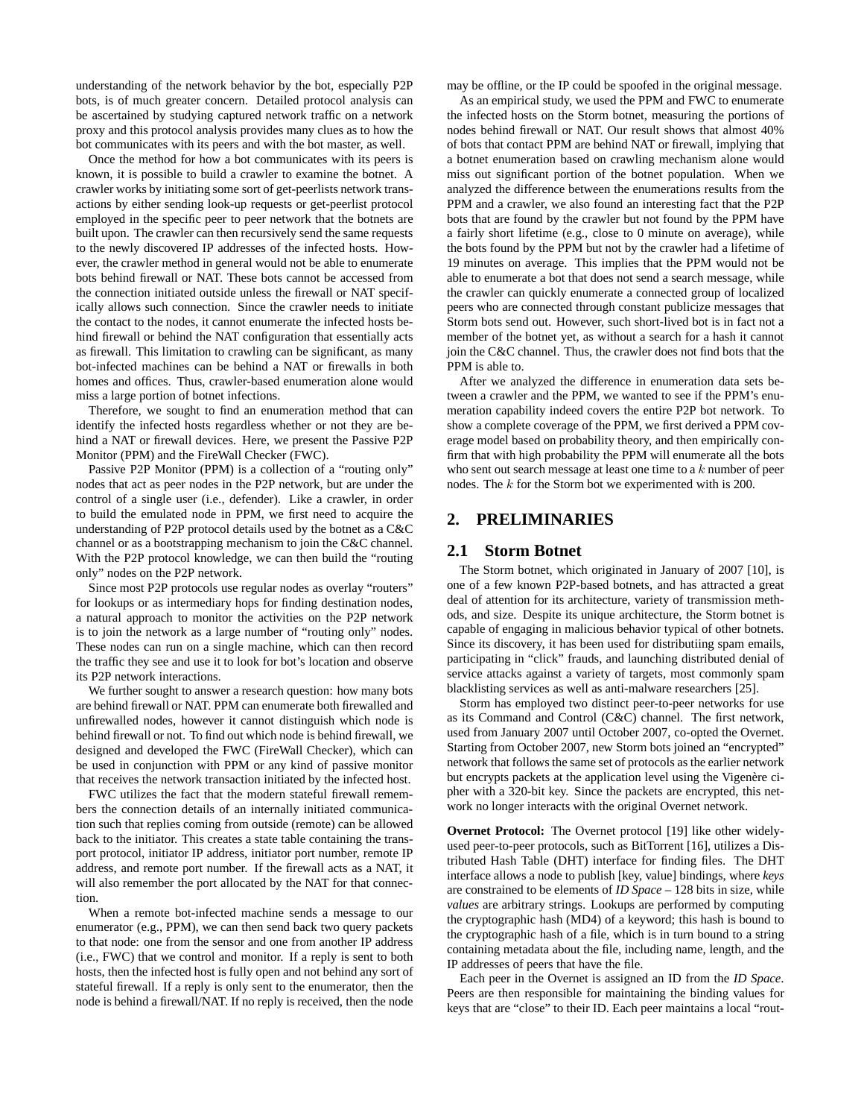understanding of the network behavior by the bot, especially P2P bots, is of much greater concern. Detailed protocol analysis can be ascertained by studying captured network traffic on a network proxy and this protocol analysis provides many clues as to how the bot communicates with its peers and with the bot master, as well.

Once the method for how a bot communicates with its peers is known, it is possible to build a crawler to examine the botnet. A crawler works by initiating some sort of get-peerlists network transactions by either sending look-up requests or get-peerlist protocol employed in the specific peer to peer network that the botnets are built upon. The crawler can then recursively send the same requests to the newly discovered IP addresses of the infected hosts. However, the crawler method in general would not be able to enumerate bots behind firewall or NAT. These bots cannot be accessed from the connection initiated outside unless the firewall or NAT specifically allows such connection. Since the crawler needs to initiate the contact to the nodes, it cannot enumerate the infected hosts behind firewall or behind the NAT configuration that essentially acts as firewall. This limitation to crawling can be significant, as many bot-infected machines can be behind a NAT or firewalls in both homes and offices. Thus, crawler-based enumeration alone would miss a large portion of botnet infections.

Therefore, we sought to find an enumeration method that can identify the infected hosts regardless whether or not they are behind a NAT or firewall devices. Here, we present the Passive P2P Monitor (PPM) and the FireWall Checker (FWC).

Passive P2P Monitor (PPM) is a collection of a "routing only" nodes that act as peer nodes in the P2P network, but are under the control of a single user (i.e., defender). Like a crawler, in order to build the emulated node in PPM, we first need to acquire the understanding of P2P protocol details used by the botnet as a C&C channel or as a bootstrapping mechanism to join the C&C channel. With the P2P protocol knowledge, we can then build the "routing only" nodes on the P2P network.

Since most P2P protocols use regular nodes as overlay "routers" for lookups or as intermediary hops for finding destination nodes, a natural approach to monitor the activities on the P2P network is to join the network as a large number of "routing only" nodes. These nodes can run on a single machine, which can then record the traffic they see and use it to look for bot's location and observe its P2P network interactions.

We further sought to answer a research question: how many bots are behind firewall or NAT. PPM can enumerate both firewalled and unfirewalled nodes, however it cannot distinguish which node is behind firewall or not. To find out which node is behind firewall, we designed and developed the FWC (FireWall Checker), which can be used in conjunction with PPM or any kind of passive monitor that receives the network transaction initiated by the infected host.

FWC utilizes the fact that the modern stateful firewall remembers the connection details of an internally initiated communication such that replies coming from outside (remote) can be allowed back to the initiator. This creates a state table containing the transport protocol, initiator IP address, initiator port number, remote IP address, and remote port number. If the firewall acts as a NAT, it will also remember the port allocated by the NAT for that connection.

When a remote bot-infected machine sends a message to our enumerator (e.g., PPM), we can then send back two query packets to that node: one from the sensor and one from another IP address (i.e., FWC) that we control and monitor. If a reply is sent to both hosts, then the infected host is fully open and not behind any sort of stateful firewall. If a reply is only sent to the enumerator, then the node is behind a firewall/NAT. If no reply is received, then the node

may be offline, or the IP could be spoofed in the original message.

As an empirical study, we used the PPM and FWC to enumerate the infected hosts on the Storm botnet, measuring the portions of nodes behind firewall or NAT. Our result shows that almost 40% of bots that contact PPM are behind NAT or firewall, implying that a botnet enumeration based on crawling mechanism alone would miss out significant portion of the botnet population. When we analyzed the difference between the enumerations results from the PPM and a crawler, we also found an interesting fact that the P2P bots that are found by the crawler but not found by the PPM have a fairly short lifetime (e.g., close to 0 minute on average), while the bots found by the PPM but not by the crawler had a lifetime of 19 minutes on average. This implies that the PPM would not be able to enumerate a bot that does not send a search message, while the crawler can quickly enumerate a connected group of localized peers who are connected through constant publicize messages that Storm bots send out. However, such short-lived bot is in fact not a member of the botnet yet, as without a search for a hash it cannot join the C&C channel. Thus, the crawler does not find bots that the PPM is able to.

After we analyzed the difference in enumeration data sets between a crawler and the PPM, we wanted to see if the PPM's enumeration capability indeed covers the entire P2P bot network. To show a complete coverage of the PPM, we first derived a PPM coverage model based on probability theory, and then empirically confirm that with high probability the PPM will enumerate all the bots who sent out search message at least one time to a k number of peer nodes. The k for the Storm bot we experimented with is 200.

# **2. PRELIMINARIES**

### **2.1 Storm Botnet**

The Storm botnet, which originated in January of 2007 [10], is one of a few known P2P-based botnets, and has attracted a great deal of attention for its architecture, variety of transmission methods, and size. Despite its unique architecture, the Storm botnet is capable of engaging in malicious behavior typical of other botnets. Since its discovery, it has been used for distributiing spam emails, participating in "click" frauds, and launching distributed denial of service attacks against a variety of targets, most commonly spam blacklisting services as well as anti-malware researchers [25].

Storm has employed two distinct peer-to-peer networks for use as its Command and Control (C&C) channel. The first network, used from January 2007 until October 2007, co-opted the Overnet. Starting from October 2007, new Storm bots joined an "encrypted" network that follows the same set of protocols as the earlier network but encrypts packets at the application level using the Vigenère cipher with a 320-bit key. Since the packets are encrypted, this network no longer interacts with the original Overnet network.

**Overnet Protocol:** The Overnet protocol [19] like other widelyused peer-to-peer protocols, such as BitTorrent [16], utilizes a Distributed Hash Table (DHT) interface for finding files. The DHT interface allows a node to publish [key, value] bindings, where *keys* are constrained to be elements of *ID Space* – 128 bits in size, while *values* are arbitrary strings. Lookups are performed by computing the cryptographic hash (MD4) of a keyword; this hash is bound to the cryptographic hash of a file, which is in turn bound to a string containing metadata about the file, including name, length, and the IP addresses of peers that have the file.

Each peer in the Overnet is assigned an ID from the *ID Space*. Peers are then responsible for maintaining the binding values for keys that are "close" to their ID. Each peer maintains a local "rout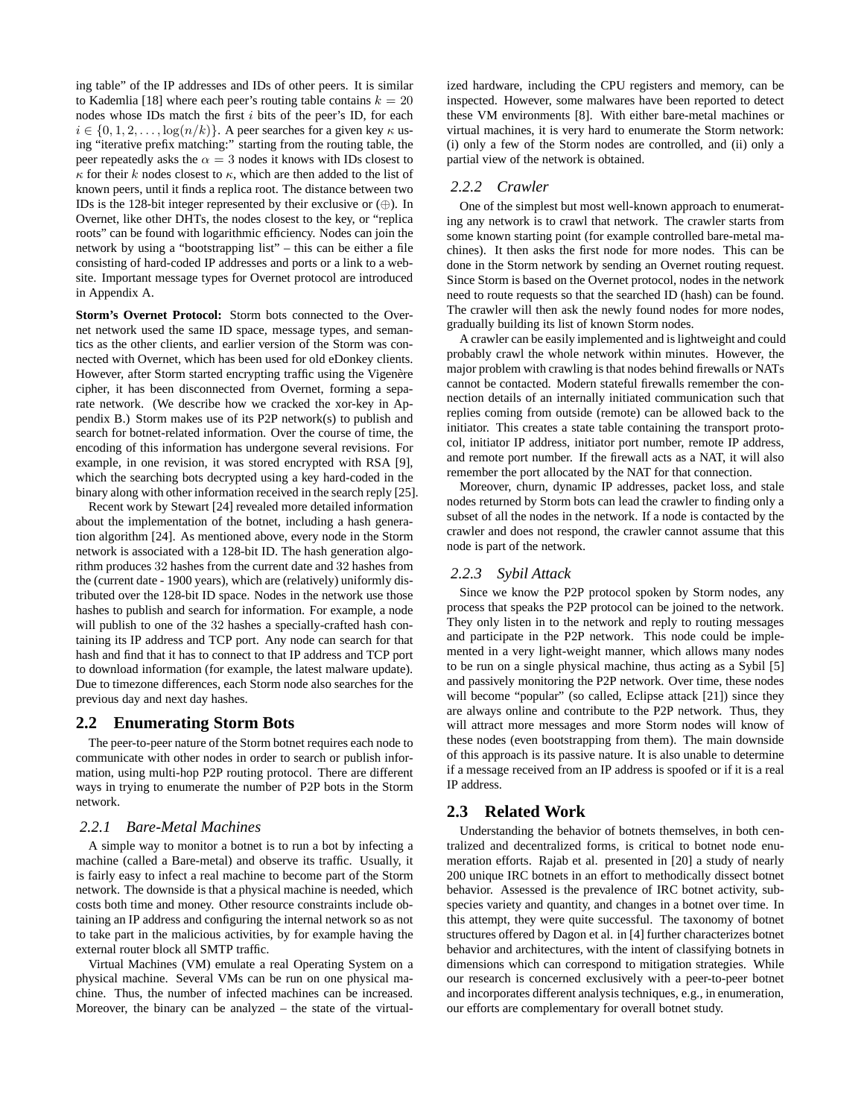ing table" of the IP addresses and IDs of other peers. It is similar to Kademlia [18] where each peer's routing table contains  $k = 20$ nodes whose IDs match the first  $i$  bits of the peer's ID, for each  $i \in \{0, 1, 2, \ldots, \log(n/k)\}\)$ . A peer searches for a given key  $\kappa$  using "iterative prefix matching:" starting from the routing table, the peer repeatedly asks the  $\alpha = 3$  nodes it knows with IDs closest to  $\kappa$  for their k nodes closest to  $\kappa$ , which are then added to the list of known peers, until it finds a replica root. The distance between two IDs is the 128-bit integer represented by their exclusive or  $(\oplus)$ . In Overnet, like other DHTs, the nodes closest to the key, or "replica roots" can be found with logarithmic efficiency. Nodes can join the network by using a "bootstrapping list" – this can be either a file consisting of hard-coded IP addresses and ports or a link to a website. Important message types for Overnet protocol are introduced in Appendix A.

**Storm's Overnet Protocol:** Storm bots connected to the Overnet network used the same ID space, message types, and semantics as the other clients, and earlier version of the Storm was connected with Overnet, which has been used for old eDonkey clients. However, after Storm started encrypting traffic using the Vigenère cipher, it has been disconnected from Overnet, forming a separate network. (We describe how we cracked the xor-key in Appendix B.) Storm makes use of its P2P network(s) to publish and search for botnet-related information. Over the course of time, the encoding of this information has undergone several revisions. For example, in one revision, it was stored encrypted with RSA [9], which the searching bots decrypted using a key hard-coded in the binary along with other information received in the search reply [25].

Recent work by Stewart [24] revealed more detailed information about the implementation of the botnet, including a hash generation algorithm [24]. As mentioned above, every node in the Storm network is associated with a 128-bit ID. The hash generation algorithm produces 32 hashes from the current date and 32 hashes from the (current date - 1900 years), which are (relatively) uniformly distributed over the 128-bit ID space. Nodes in the network use those hashes to publish and search for information. For example, a node will publish to one of the 32 hashes a specially-crafted hash containing its IP address and TCP port. Any node can search for that hash and find that it has to connect to that IP address and TCP port to download information (for example, the latest malware update). Due to timezone differences, each Storm node also searches for the previous day and next day hashes.

### **2.2 Enumerating Storm Bots**

The peer-to-peer nature of the Storm botnet requires each node to communicate with other nodes in order to search or publish information, using multi-hop P2P routing protocol. There are different ways in trying to enumerate the number of P2P bots in the Storm network.

#### *2.2.1 Bare-Metal Machines*

A simple way to monitor a botnet is to run a bot by infecting a machine (called a Bare-metal) and observe its traffic. Usually, it is fairly easy to infect a real machine to become part of the Storm network. The downside is that a physical machine is needed, which costs both time and money. Other resource constraints include obtaining an IP address and configuring the internal network so as not to take part in the malicious activities, by for example having the external router block all SMTP traffic.

Virtual Machines (VM) emulate a real Operating System on a physical machine. Several VMs can be run on one physical machine. Thus, the number of infected machines can be increased. Moreover, the binary can be analyzed – the state of the virtualized hardware, including the CPU registers and memory, can be inspected. However, some malwares have been reported to detect these VM environments [8]. With either bare-metal machines or virtual machines, it is very hard to enumerate the Storm network: (i) only a few of the Storm nodes are controlled, and (ii) only a partial view of the network is obtained.

#### *2.2.2 Crawler*

One of the simplest but most well-known approach to enumerating any network is to crawl that network. The crawler starts from some known starting point (for example controlled bare-metal machines). It then asks the first node for more nodes. This can be done in the Storm network by sending an Overnet routing request. Since Storm is based on the Overnet protocol, nodes in the network need to route requests so that the searched ID (hash) can be found. The crawler will then ask the newly found nodes for more nodes, gradually building its list of known Storm nodes.

A crawler can be easily implemented and is lightweight and could probably crawl the whole network within minutes. However, the major problem with crawling is that nodes behind firewalls or NATs cannot be contacted. Modern stateful firewalls remember the connection details of an internally initiated communication such that replies coming from outside (remote) can be allowed back to the initiator. This creates a state table containing the transport protocol, initiator IP address, initiator port number, remote IP address, and remote port number. If the firewall acts as a NAT, it will also remember the port allocated by the NAT for that connection.

Moreover, churn, dynamic IP addresses, packet loss, and stale nodes returned by Storm bots can lead the crawler to finding only a subset of all the nodes in the network. If a node is contacted by the crawler and does not respond, the crawler cannot assume that this node is part of the network.

### *2.2.3 Sybil Attack*

Since we know the P2P protocol spoken by Storm nodes, any process that speaks the P2P protocol can be joined to the network. They only listen in to the network and reply to routing messages and participate in the P2P network. This node could be implemented in a very light-weight manner, which allows many nodes to be run on a single physical machine, thus acting as a Sybil [5] and passively monitoring the P2P network. Over time, these nodes will become "popular" (so called, Eclipse attack [21]) since they are always online and contribute to the P2P network. Thus, they will attract more messages and more Storm nodes will know of these nodes (even bootstrapping from them). The main downside of this approach is its passive nature. It is also unable to determine if a message received from an IP address is spoofed or if it is a real IP address.

## **2.3 Related Work**

Understanding the behavior of botnets themselves, in both centralized and decentralized forms, is critical to botnet node enumeration efforts. Rajab et al. presented in [20] a study of nearly 200 unique IRC botnets in an effort to methodically dissect botnet behavior. Assessed is the prevalence of IRC botnet activity, subspecies variety and quantity, and changes in a botnet over time. In this attempt, they were quite successful. The taxonomy of botnet structures offered by Dagon et al. in [4] further characterizes botnet behavior and architectures, with the intent of classifying botnets in dimensions which can correspond to mitigation strategies. While our research is concerned exclusively with a peer-to-peer botnet and incorporates different analysis techniques, e.g., in enumeration, our efforts are complementary for overall botnet study.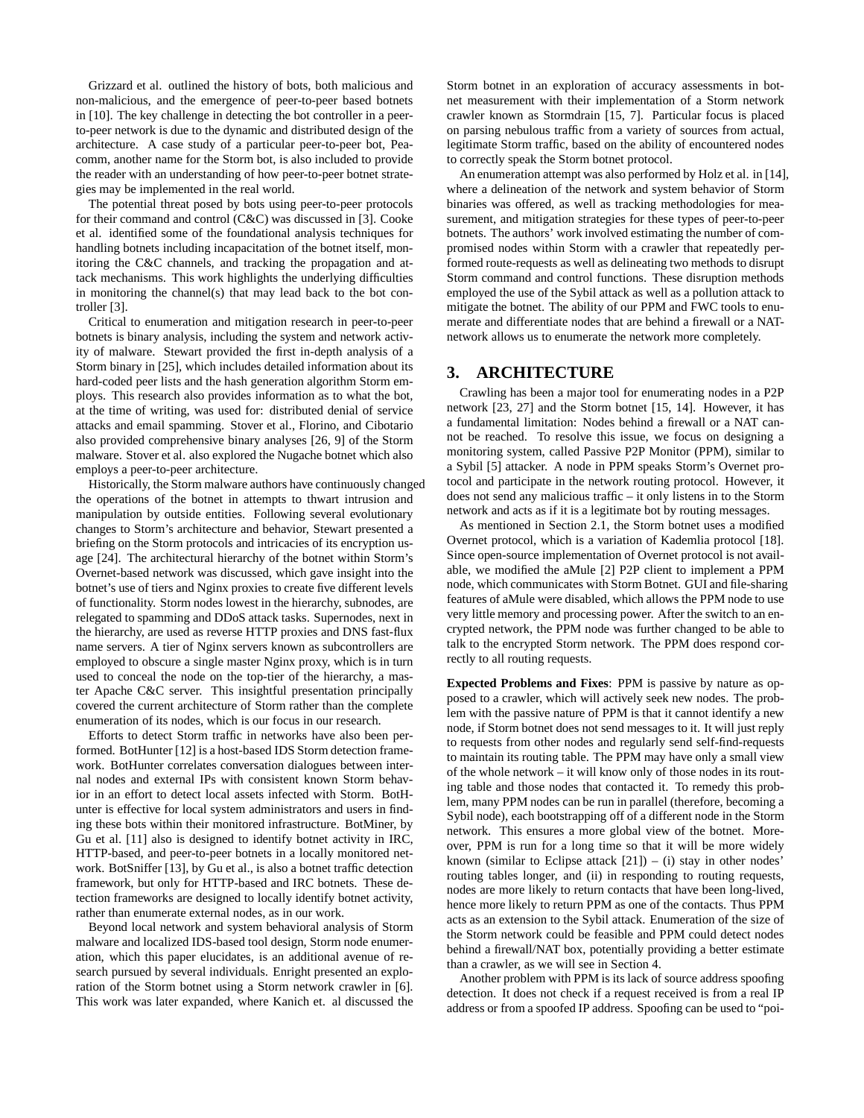Grizzard et al. outlined the history of bots, both malicious and non-malicious, and the emergence of peer-to-peer based botnets in [10]. The key challenge in detecting the bot controller in a peerto-peer network is due to the dynamic and distributed design of the architecture. A case study of a particular peer-to-peer bot, Peacomm, another name for the Storm bot, is also included to provide the reader with an understanding of how peer-to-peer botnet strategies may be implemented in the real world.

The potential threat posed by bots using peer-to-peer protocols for their command and control (C&C) was discussed in [3]. Cooke et al. identified some of the foundational analysis techniques for handling botnets including incapacitation of the botnet itself, monitoring the C&C channels, and tracking the propagation and attack mechanisms. This work highlights the underlying difficulties in monitoring the channel(s) that may lead back to the bot controller [3].

Critical to enumeration and mitigation research in peer-to-peer botnets is binary analysis, including the system and network activity of malware. Stewart provided the first in-depth analysis of a Storm binary in [25], which includes detailed information about its hard-coded peer lists and the hash generation algorithm Storm employs. This research also provides information as to what the bot, at the time of writing, was used for: distributed denial of service attacks and email spamming. Stover et al., Florino, and Cibotario also provided comprehensive binary analyses [26, 9] of the Storm malware. Stover et al. also explored the Nugache botnet which also employs a peer-to-peer architecture.

Historically, the Storm malware authors have continuously changed the operations of the botnet in attempts to thwart intrusion and manipulation by outside entities. Following several evolutionary changes to Storm's architecture and behavior, Stewart presented a briefing on the Storm protocols and intricacies of its encryption usage [24]. The architectural hierarchy of the botnet within Storm's Overnet-based network was discussed, which gave insight into the botnet's use of tiers and Nginx proxies to create five different levels of functionality. Storm nodes lowest in the hierarchy, subnodes, are relegated to spamming and DDoS attack tasks. Supernodes, next in the hierarchy, are used as reverse HTTP proxies and DNS fast-flux name servers. A tier of Nginx servers known as subcontrollers are employed to obscure a single master Nginx proxy, which is in turn used to conceal the node on the top-tier of the hierarchy, a master Apache C&C server. This insightful presentation principally covered the current architecture of Storm rather than the complete enumeration of its nodes, which is our focus in our research.

Efforts to detect Storm traffic in networks have also been performed. BotHunter [12] is a host-based IDS Storm detection framework. BotHunter correlates conversation dialogues between internal nodes and external IPs with consistent known Storm behavior in an effort to detect local assets infected with Storm. BotHunter is effective for local system administrators and users in finding these bots within their monitored infrastructure. BotMiner, by Gu et al. [11] also is designed to identify botnet activity in IRC, HTTP-based, and peer-to-peer botnets in a locally monitored network. BotSniffer [13], by Gu et al., is also a botnet traffic detection framework, but only for HTTP-based and IRC botnets. These detection frameworks are designed to locally identify botnet activity, rather than enumerate external nodes, as in our work.

Beyond local network and system behavioral analysis of Storm malware and localized IDS-based tool design, Storm node enumeration, which this paper elucidates, is an additional avenue of research pursued by several individuals. Enright presented an exploration of the Storm botnet using a Storm network crawler in [6]. This work was later expanded, where Kanich et. al discussed the Storm botnet in an exploration of accuracy assessments in botnet measurement with their implementation of a Storm network crawler known as Stormdrain [15, 7]. Particular focus is placed on parsing nebulous traffic from a variety of sources from actual, legitimate Storm traffic, based on the ability of encountered nodes to correctly speak the Storm botnet protocol.

An enumeration attempt was also performed by Holz et al. in [14], where a delineation of the network and system behavior of Storm binaries was offered, as well as tracking methodologies for measurement, and mitigation strategies for these types of peer-to-peer botnets. The authors' work involved estimating the number of compromised nodes within Storm with a crawler that repeatedly performed route-requests as well as delineating two methods to disrupt Storm command and control functions. These disruption methods employed the use of the Sybil attack as well as a pollution attack to mitigate the botnet. The ability of our PPM and FWC tools to enumerate and differentiate nodes that are behind a firewall or a NATnetwork allows us to enumerate the network more completely.

# **3. ARCHITECTURE**

Crawling has been a major tool for enumerating nodes in a P2P network [23, 27] and the Storm botnet [15, 14]. However, it has a fundamental limitation: Nodes behind a firewall or a NAT cannot be reached. To resolve this issue, we focus on designing a monitoring system, called Passive P2P Monitor (PPM), similar to a Sybil [5] attacker. A node in PPM speaks Storm's Overnet protocol and participate in the network routing protocol. However, it does not send any malicious traffic – it only listens in to the Storm network and acts as if it is a legitimate bot by routing messages.

As mentioned in Section 2.1, the Storm botnet uses a modified Overnet protocol, which is a variation of Kademlia protocol [18]. Since open-source implementation of Overnet protocol is not available, we modified the aMule [2] P2P client to implement a PPM node, which communicates with Storm Botnet. GUI and file-sharing features of aMule were disabled, which allows the PPM node to use very little memory and processing power. After the switch to an encrypted network, the PPM node was further changed to be able to talk to the encrypted Storm network. The PPM does respond correctly to all routing requests.

**Expected Problems and Fixes**: PPM is passive by nature as opposed to a crawler, which will actively seek new nodes. The problem with the passive nature of PPM is that it cannot identify a new node, if Storm botnet does not send messages to it. It will just reply to requests from other nodes and regularly send self-find-requests to maintain its routing table. The PPM may have only a small view of the whole network – it will know only of those nodes in its routing table and those nodes that contacted it. To remedy this problem, many PPM nodes can be run in parallel (therefore, becoming a Sybil node), each bootstrapping off of a different node in the Storm network. This ensures a more global view of the botnet. Moreover, PPM is run for a long time so that it will be more widely known (similar to Eclipse attack  $[21]$ ) – (i) stay in other nodes' routing tables longer, and (ii) in responding to routing requests, nodes are more likely to return contacts that have been long-lived, hence more likely to return PPM as one of the contacts. Thus PPM acts as an extension to the Sybil attack. Enumeration of the size of the Storm network could be feasible and PPM could detect nodes behind a firewall/NAT box, potentially providing a better estimate than a crawler, as we will see in Section 4.

Another problem with PPM is its lack of source address spoofing detection. It does not check if a request received is from a real IP address or from a spoofed IP address. Spoofing can be used to "poi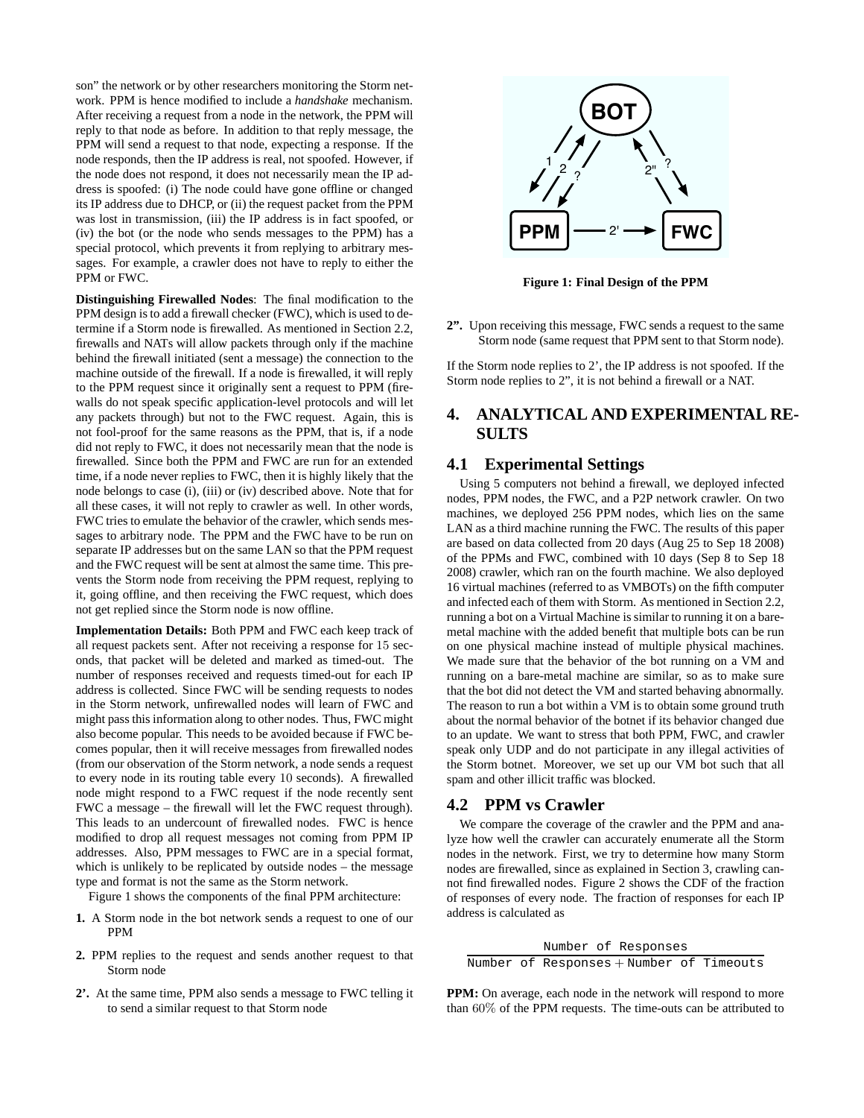son" the network or by other researchers monitoring the Storm network. PPM is hence modified to include a *handshake* mechanism. After receiving a request from a node in the network, the PPM will reply to that node as before. In addition to that reply message, the PPM will send a request to that node, expecting a response. If the node responds, then the IP address is real, not spoofed. However, if the node does not respond, it does not necessarily mean the IP address is spoofed: (i) The node could have gone offline or changed its IP address due to DHCP, or (ii) the request packet from the PPM was lost in transmission, (iii) the IP address is in fact spoofed, or (iv) the bot (or the node who sends messages to the PPM) has a special protocol, which prevents it from replying to arbitrary messages. For example, a crawler does not have to reply to either the PPM or FWC.

**Distinguishing Firewalled Nodes**: The final modification to the PPM design is to add a firewall checker (FWC), which is used to determine if a Storm node is firewalled. As mentioned in Section 2.2, firewalls and NATs will allow packets through only if the machine behind the firewall initiated (sent a message) the connection to the machine outside of the firewall. If a node is firewalled, it will reply to the PPM request since it originally sent a request to PPM (firewalls do not speak specific application-level protocols and will let any packets through) but not to the FWC request. Again, this is not fool-proof for the same reasons as the PPM, that is, if a node did not reply to FWC, it does not necessarily mean that the node is firewalled. Since both the PPM and FWC are run for an extended time, if a node never replies to FWC, then it is highly likely that the node belongs to case (i), (iii) or (iv) described above. Note that for all these cases, it will not reply to crawler as well. In other words, FWC tries to emulate the behavior of the crawler, which sends messages to arbitrary node. The PPM and the FWC have to be run on separate IP addresses but on the same LAN so that the PPM request and the FWC request will be sent at almost the same time. This prevents the Storm node from receiving the PPM request, replying to it, going offline, and then receiving the FWC request, which does not get replied since the Storm node is now offline.

**Implementation Details:** Both PPM and FWC each keep track of all request packets sent. After not receiving a response for 15 seconds, that packet will be deleted and marked as timed-out. The number of responses received and requests timed-out for each IP address is collected. Since FWC will be sending requests to nodes in the Storm network, unfirewalled nodes will learn of FWC and might pass this information along to other nodes. Thus, FWC might also become popular. This needs to be avoided because if FWC becomes popular, then it will receive messages from firewalled nodes (from our observation of the Storm network, a node sends a request to every node in its routing table every 10 seconds). A firewalled node might respond to a FWC request if the node recently sent FWC a message – the firewall will let the FWC request through). This leads to an undercount of firewalled nodes. FWC is hence modified to drop all request messages not coming from PPM IP addresses. Also, PPM messages to FWC are in a special format, which is unlikely to be replicated by outside nodes – the message type and format is not the same as the Storm network.

Figure 1 shows the components of the final PPM architecture:

- **1.** A Storm node in the bot network sends a request to one of our PPM
- **2.** PPM replies to the request and sends another request to that Storm node
- **2'.** At the same time, PPM also sends a message to FWC telling it to send a similar request to that Storm node



**Figure 1: Final Design of the PPM**

**2".** Upon receiving this message, FWC sends a request to the same Storm node (same request that PPM sent to that Storm node).

If the Storm node replies to 2', the IP address is not spoofed. If the Storm node replies to 2", it is not behind a firewall or a NAT.

# **4. ANALYTICAL AND EXPERIMENTAL RE-SULTS**

### **4.1 Experimental Settings**

Using 5 computers not behind a firewall, we deployed infected nodes, PPM nodes, the FWC, and a P2P network crawler. On two machines, we deployed 256 PPM nodes, which lies on the same LAN as a third machine running the FWC. The results of this paper are based on data collected from 20 days (Aug 25 to Sep 18 2008) of the PPMs and FWC, combined with 10 days (Sep 8 to Sep 18 2008) crawler, which ran on the fourth machine. We also deployed 16 virtual machines (referred to as VMBOTs) on the fifth computer and infected each of them with Storm. As mentioned in Section 2.2, running a bot on a Virtual Machine is similar to running it on a baremetal machine with the added benefit that multiple bots can be run on one physical machine instead of multiple physical machines. We made sure that the behavior of the bot running on a VM and running on a bare-metal machine are similar, so as to make sure that the bot did not detect the VM and started behaving abnormally. The reason to run a bot within a VM is to obtain some ground truth about the normal behavior of the botnet if its behavior changed due to an update. We want to stress that both PPM, FWC, and crawler speak only UDP and do not participate in any illegal activities of the Storm botnet. Moreover, we set up our VM bot such that all spam and other illicit traffic was blocked.

#### **4.2 PPM vs Crawler**

We compare the coverage of the crawler and the PPM and analyze how well the crawler can accurately enumerate all the Storm nodes in the network. First, we try to determine how many Storm nodes are firewalled, since as explained in Section 3, crawling cannot find firewalled nodes. Figure 2 shows the CDF of the fraction of responses of every node. The fraction of responses for each IP address is calculated as

Number of Responses Number of Responses + Number of Timeouts

**PPM:** On average, each node in the network will respond to more than 60% of the PPM requests. The time-outs can be attributed to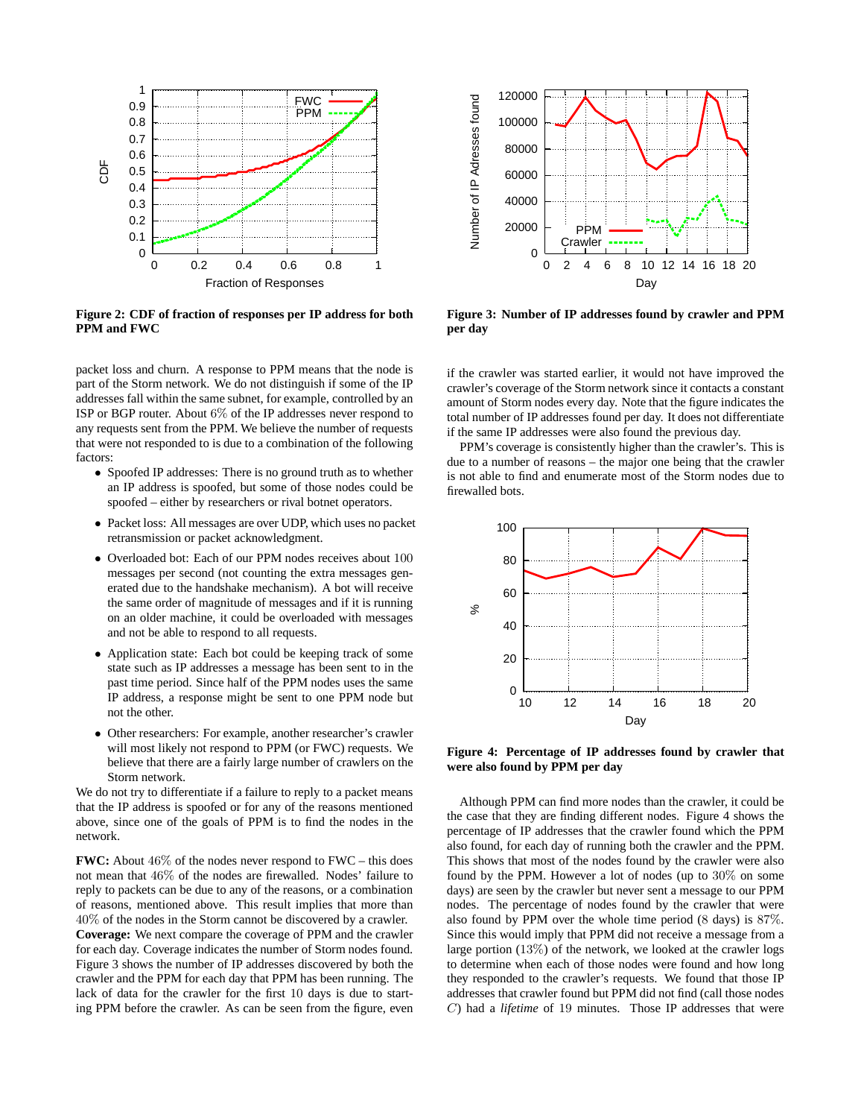

**Figure 2: CDF of fraction of responses per IP address for both PPM and FWC**

packet loss and churn. A response to PPM means that the node is part of the Storm network. We do not distinguish if some of the IP addresses fall within the same subnet, for example, controlled by an ISP or BGP router. About 6% of the IP addresses never respond to any requests sent from the PPM. We believe the number of requests that were not responded to is due to a combination of the following factors:

- Spoofed IP addresses: There is no ground truth as to whether an IP address is spoofed, but some of those nodes could be spoofed – either by researchers or rival botnet operators.
- Packet loss: All messages are over UDP, which uses no packet retransmission or packet acknowledgment.
- Overloaded bot: Each of our PPM nodes receives about 100 messages per second (not counting the extra messages generated due to the handshake mechanism). A bot will receive the same order of magnitude of messages and if it is running on an older machine, it could be overloaded with messages and not be able to respond to all requests.
- Application state: Each bot could be keeping track of some state such as IP addresses a message has been sent to in the past time period. Since half of the PPM nodes uses the same IP address, a response might be sent to one PPM node but not the other.
- Other researchers: For example, another researcher's crawler will most likely not respond to PPM (or FWC) requests. We believe that there are a fairly large number of crawlers on the Storm network.

We do not try to differentiate if a failure to reply to a packet means that the IP address is spoofed or for any of the reasons mentioned above, since one of the goals of PPM is to find the nodes in the network.

**FWC:** About 46% of the nodes never respond to FWC – this does not mean that 46% of the nodes are firewalled. Nodes' failure to reply to packets can be due to any of the reasons, or a combination of reasons, mentioned above. This result implies that more than 40% of the nodes in the Storm cannot be discovered by a crawler. **Coverage:** We next compare the coverage of PPM and the crawler for each day. Coverage indicates the number of Storm nodes found. Figure 3 shows the number of IP addresses discovered by both the crawler and the PPM for each day that PPM has been running. The lack of data for the crawler for the first 10 days is due to starting PPM before the crawler. As can be seen from the figure, even



**Figure 3: Number of IP addresses found by crawler and PPM per day**

if the crawler was started earlier, it would not have improved the crawler's coverage of the Storm network since it contacts a constant amount of Storm nodes every day. Note that the figure indicates the total number of IP addresses found per day. It does not differentiate if the same IP addresses were also found the previous day.

PPM's coverage is consistently higher than the crawler's. This is due to a number of reasons – the major one being that the crawler is not able to find and enumerate most of the Storm nodes due to firewalled bots.



**Figure 4: Percentage of IP addresses found by crawler that were also found by PPM per day**

Although PPM can find more nodes than the crawler, it could be the case that they are finding different nodes. Figure 4 shows the percentage of IP addresses that the crawler found which the PPM also found, for each day of running both the crawler and the PPM. This shows that most of the nodes found by the crawler were also found by the PPM. However a lot of nodes (up to 30% on some days) are seen by the crawler but never sent a message to our PPM nodes. The percentage of nodes found by the crawler that were also found by PPM over the whole time period (8 days) is 87%. Since this would imply that PPM did not receive a message from a large portion (13%) of the network, we looked at the crawler logs to determine when each of those nodes were found and how long they responded to the crawler's requests. We found that those IP addresses that crawler found but PPM did not find (call those nodes C) had a *lifetime* of 19 minutes. Those IP addresses that were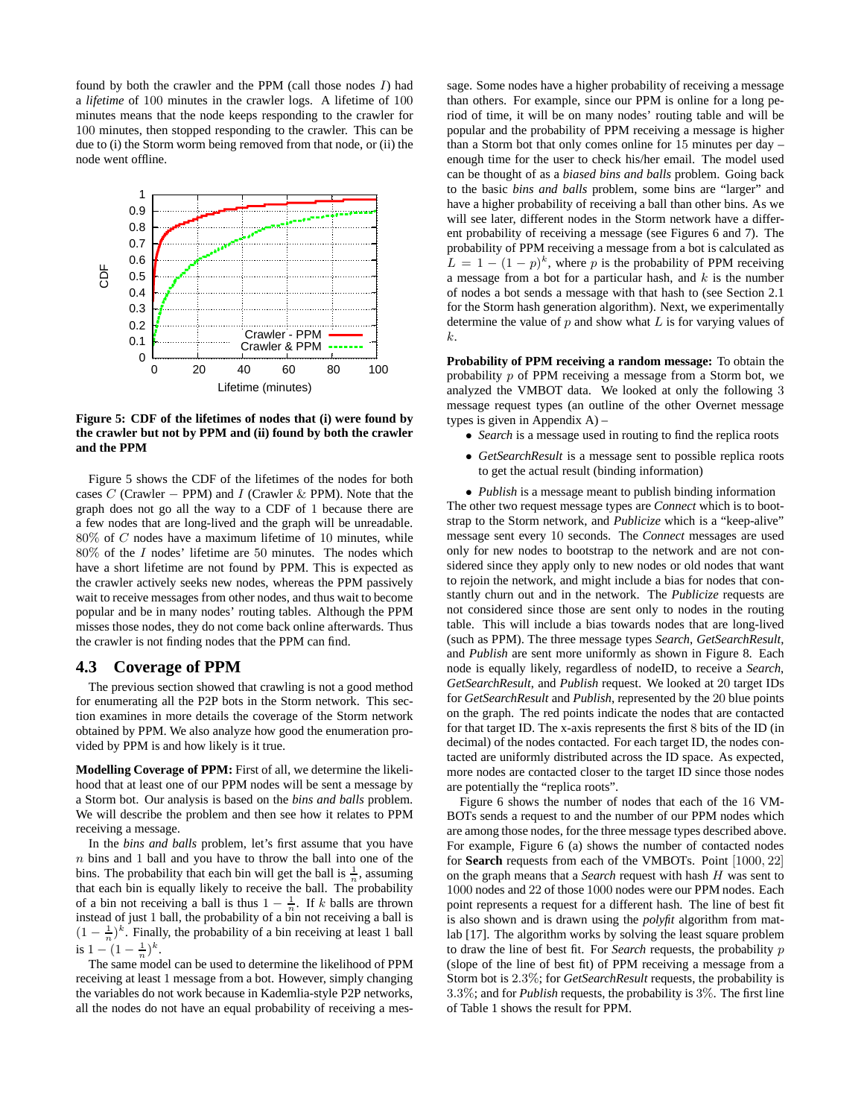found by both the crawler and the PPM (call those nodes  $I$ ) had a *lifetime* of 100 minutes in the crawler logs. A lifetime of 100 minutes means that the node keeps responding to the crawler for 100 minutes, then stopped responding to the crawler. This can be due to (i) the Storm worm being removed from that node, or (ii) the node went offline.



**Figure 5: CDF of the lifetimes of nodes that (i) were found by the crawler but not by PPM and (ii) found by both the crawler and the PPM**

Figure 5 shows the CDF of the lifetimes of the nodes for both cases  $C$  (Crawler – PPM) and  $I$  (Crawler  $\&$  PPM). Note that the graph does not go all the way to a CDF of 1 because there are a few nodes that are long-lived and the graph will be unreadable.  $80\%$  of C nodes have a maximum lifetime of 10 minutes, while  $80\%$  of the I nodes' lifetime are 50 minutes. The nodes which have a short lifetime are not found by PPM. This is expected as the crawler actively seeks new nodes, whereas the PPM passively wait to receive messages from other nodes, and thus wait to become popular and be in many nodes' routing tables. Although the PPM misses those nodes, they do not come back online afterwards. Thus the crawler is not finding nodes that the PPM can find.

### **4.3 Coverage of PPM**

The previous section showed that crawling is not a good method for enumerating all the P2P bots in the Storm network. This section examines in more details the coverage of the Storm network obtained by PPM. We also analyze how good the enumeration provided by PPM is and how likely is it true.

**Modelling Coverage of PPM:** First of all, we determine the likelihood that at least one of our PPM nodes will be sent a message by a Storm bot. Our analysis is based on the *bins and balls* problem. We will describe the problem and then see how it relates to PPM receiving a message.

In the *bins and balls* problem, let's first assume that you have  $n$  bins and 1 ball and you have to throw the ball into one of the bins. The probability that each bin will get the ball is  $\frac{1}{n}$ , assuming that each bin is equally likely to receive the ball. The probability of a bin not receiving a ball is thus  $1 - \frac{1}{n}$ . If k balls are thrown instead of just 1 ball, the probability of a bin not receiving a ball is  $(1 - \frac{1}{n})^k$ . Finally, the probability of a bin receiving at least 1 ball is  $1-(1-\frac{1}{n})^k$ .

The same model can be used to determine the likelihood of PPM receiving at least 1 message from a bot. However, simply changing the variables do not work because in Kademlia-style P2P networks, all the nodes do not have an equal probability of receiving a message. Some nodes have a higher probability of receiving a message than others. For example, since our PPM is online for a long period of time, it will be on many nodes' routing table and will be popular and the probability of PPM receiving a message is higher than a Storm bot that only comes online for 15 minutes per day – enough time for the user to check his/her email. The model used can be thought of as a *biased bins and balls* problem. Going back to the basic *bins and balls* problem, some bins are "larger" and have a higher probability of receiving a ball than other bins. As we will see later, different nodes in the Storm network have a different probability of receiving a message (see Figures 6 and 7). The probability of PPM receiving a message from a bot is calculated as  $L = 1 - (1 - p)^k$ , where p is the probability of PPM receiving a message from a bot for a particular hash, and  $k$  is the number of nodes a bot sends a message with that hash to (see Section 2.1 for the Storm hash generation algorithm). Next, we experimentally determine the value of  $p$  and show what  $L$  is for varying values of k.

**Probability of PPM receiving a random message:** To obtain the probability p of PPM receiving a message from a Storm bot, we analyzed the VMBOT data. We looked at only the following 3 message request types (an outline of the other Overnet message types is given in Appendix A) –

- *Search* is a message used in routing to find the replica roots
- *GetSearchResult* is a message sent to possible replica roots to get the actual result (binding information)

• *Publish* is a message meant to publish binding information The other two request message types are *Connect* which is to bootstrap to the Storm network, and *Publicize* which is a "keep-alive" message sent every 10 seconds. The *Connect* messages are used only for new nodes to bootstrap to the network and are not considered since they apply only to new nodes or old nodes that want to rejoin the network, and might include a bias for nodes that constantly churn out and in the network. The *Publicize* requests are not considered since those are sent only to nodes in the routing table. This will include a bias towards nodes that are long-lived (such as PPM). The three message types *Search*, *GetSearchResult*, and *Publish* are sent more uniformly as shown in Figure 8. Each node is equally likely, regardless of nodeID, to receive a *Search*, *GetSearchResult*, and *Publish* request. We looked at 20 target IDs for *GetSearchResult* and *Publish*, represented by the 20 blue points on the graph. The red points indicate the nodes that are contacted for that target ID. The x-axis represents the first 8 bits of the ID (in decimal) of the nodes contacted. For each target ID, the nodes contacted are uniformly distributed across the ID space. As expected, more nodes are contacted closer to the target ID since those nodes are potentially the "replica roots".

Figure 6 shows the number of nodes that each of the 16 VM-BOTs sends a request to and the number of our PPM nodes which are among those nodes, for the three message types described above. For example, Figure 6 (a) shows the number of contacted nodes for **Search** requests from each of the VMBOTs. Point [1000, 22] on the graph means that a *Search* request with hash H was sent to 1000 nodes and 22 of those 1000 nodes were our PPM nodes. Each point represents a request for a different hash. The line of best fit is also shown and is drawn using the *polyfit* algorithm from matlab [17]. The algorithm works by solving the least square problem to draw the line of best fit. For *Search* requests, the probability p (slope of the line of best fit) of PPM receiving a message from a Storm bot is 2.3%; for *GetSearchResult* requests, the probability is 3.3%; and for *Publish* requests, the probability is 3%. The first line of Table 1 shows the result for PPM.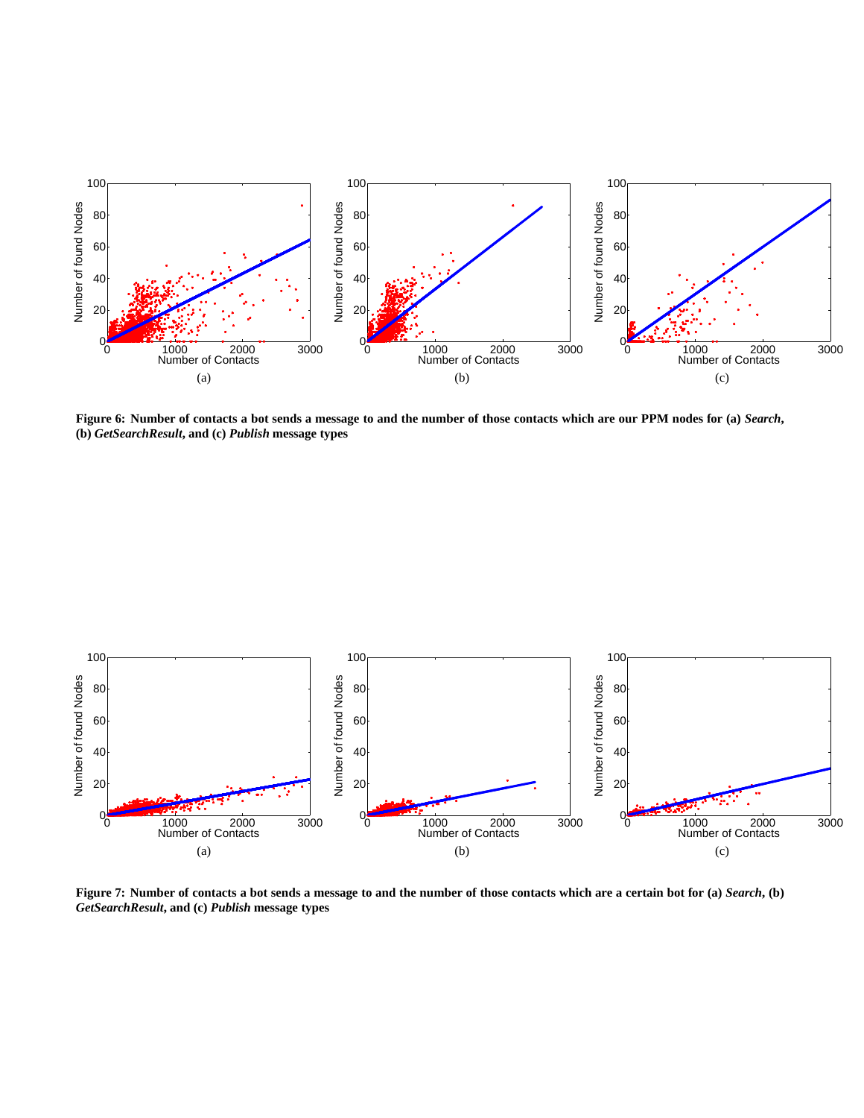

**Figure 6: Number of contacts a bot sends a message to and the number of those contacts which are our PPM nodes for (a)** *Search***, (b)** *GetSearchResult***, and (c)** *Publish* **message types**



**Figure 7: Number of contacts a bot sends a message to and the number of those contacts which are a certain bot for (a)** *Search***, (b)** *GetSearchResult***, and (c)** *Publish* **message types**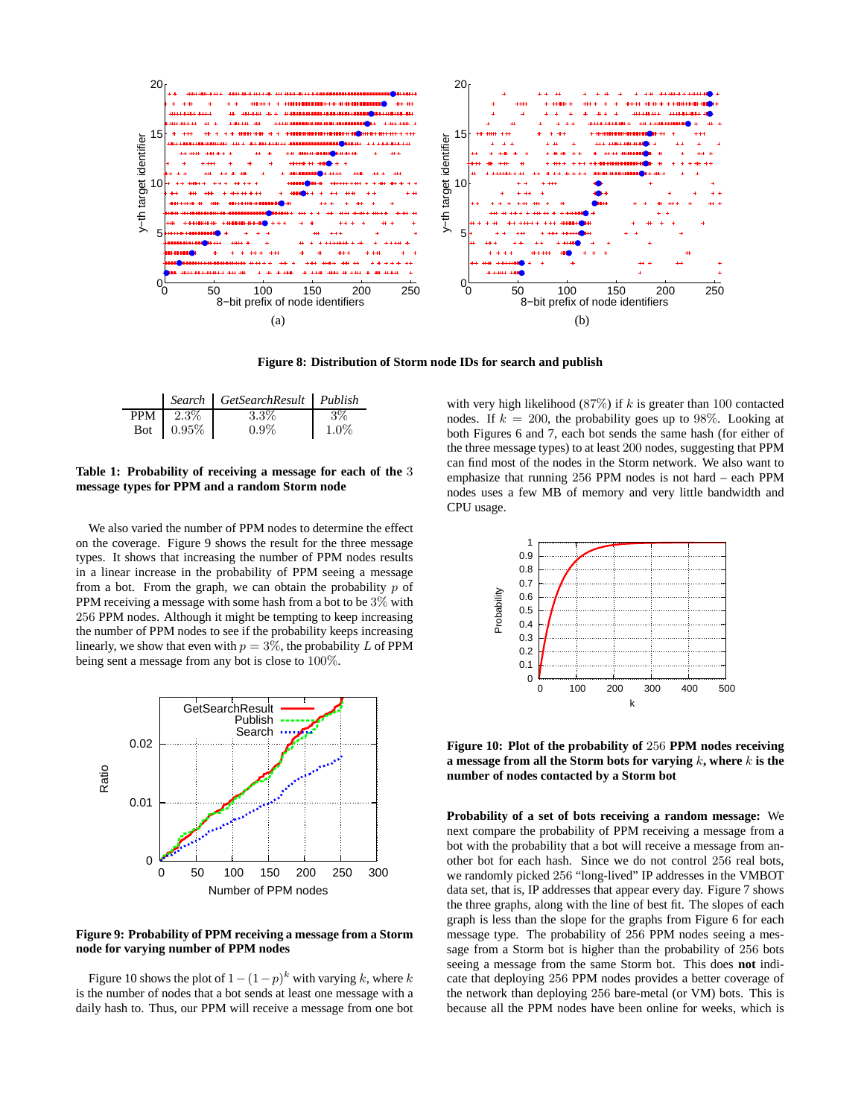

**Figure 8: Distribution of Storm node IDs for search and publish**

|     |            | Search GetSearchResult Publish |         |
|-----|------------|--------------------------------|---------|
| PPM | $12.3\%$   | $3.3\%$                        | 3%      |
|     | Bot 0.95\% | $0.9\%$                        | $1.0\%$ |

**Table 1: Probability of receiving a message for each of the** 3 **message types for PPM and a random Storm node**

We also varied the number of PPM nodes to determine the effect on the coverage. Figure 9 shows the result for the three message types. It shows that increasing the number of PPM nodes results in a linear increase in the probability of PPM seeing a message from a bot. From the graph, we can obtain the probability  $p$  of PPM receiving a message with some hash from a bot to be 3% with 256 PPM nodes. Although it might be tempting to keep increasing the number of PPM nodes to see if the probability keeps increasing linearly, we show that even with  $p = 3\%$ , the probability L of PPM being sent a message from any bot is close to 100%.



#### **Figure 9: Probability of PPM receiving a message from a Storm node for varying number of PPM nodes**

Figure 10 shows the plot of  $1-(1-p)^k$  with varying k, where k is the number of nodes that a bot sends at least one message with a daily hash to. Thus, our PPM will receive a message from one bot

with very high likelihood  $(87\%)$  if k is greater than 100 contacted nodes. If  $k = 200$ , the probability goes up to 98%. Looking at both Figures 6 and 7, each bot sends the same hash (for either of the three message types) to at least 200 nodes, suggesting that PPM can find most of the nodes in the Storm network. We also want to emphasize that running 256 PPM nodes is not hard – each PPM nodes uses a few MB of memory and very little bandwidth and CPU usage.



**Figure 10: Plot of the probability of** 256 **PPM nodes receiving a message from all the Storm bots for varying** k**, where** k **is the number of nodes contacted by a Storm bot**

**Probability of a set of bots receiving a random message:** We next compare the probability of PPM receiving a message from a bot with the probability that a bot will receive a message from another bot for each hash. Since we do not control 256 real bots, we randomly picked 256 "long-lived" IP addresses in the VMBOT data set, that is, IP addresses that appear every day. Figure 7 shows the three graphs, along with the line of best fit. The slopes of each graph is less than the slope for the graphs from Figure 6 for each message type. The probability of 256 PPM nodes seeing a message from a Storm bot is higher than the probability of 256 bots seeing a message from the same Storm bot. This does **not** indicate that deploying 256 PPM nodes provides a better coverage of the network than deploying 256 bare-metal (or VM) bots. This is because all the PPM nodes have been online for weeks, which is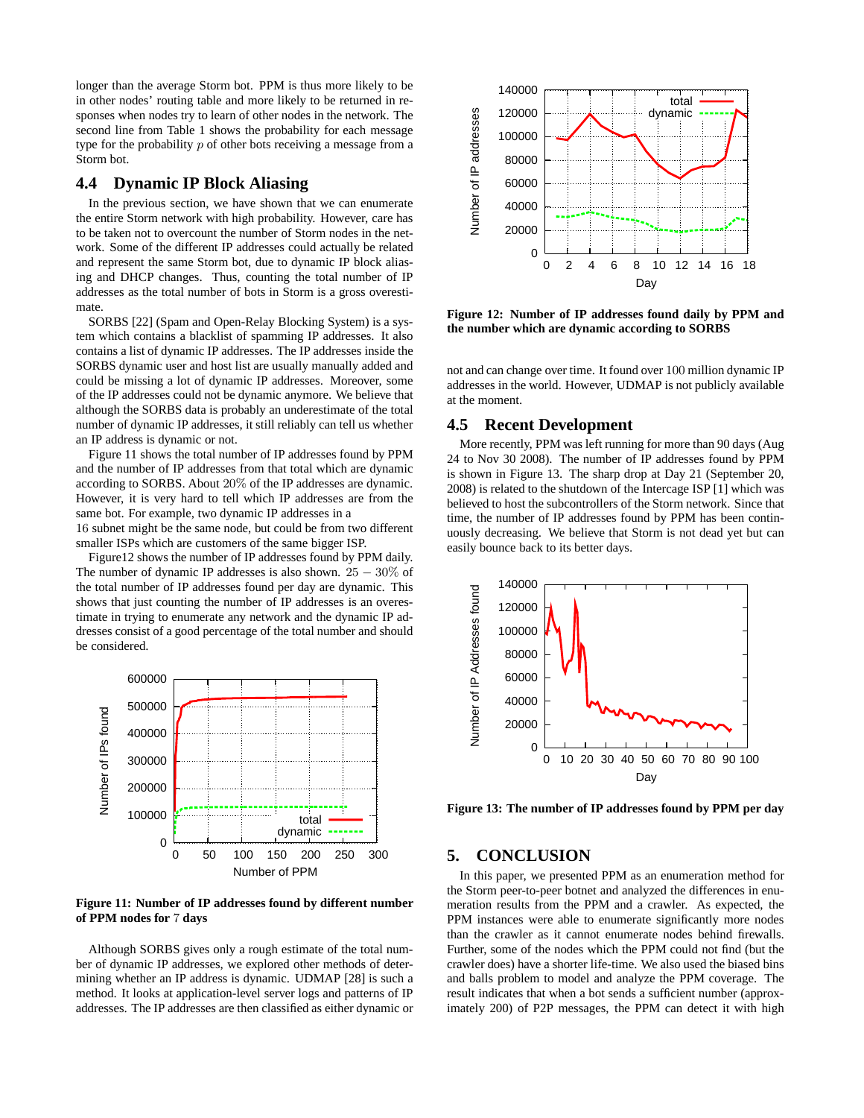longer than the average Storm bot. PPM is thus more likely to be in other nodes' routing table and more likely to be returned in responses when nodes try to learn of other nodes in the network. The second line from Table 1 shows the probability for each message type for the probability  $p$  of other bots receiving a message from a Storm bot.

### **4.4 Dynamic IP Block Aliasing**

In the previous section, we have shown that we can enumerate the entire Storm network with high probability. However, care has to be taken not to overcount the number of Storm nodes in the network. Some of the different IP addresses could actually be related and represent the same Storm bot, due to dynamic IP block aliasing and DHCP changes. Thus, counting the total number of IP addresses as the total number of bots in Storm is a gross overestimate.

SORBS [22] (Spam and Open-Relay Blocking System) is a system which contains a blacklist of spamming IP addresses. It also contains a list of dynamic IP addresses. The IP addresses inside the SORBS dynamic user and host list are usually manually added and could be missing a lot of dynamic IP addresses. Moreover, some of the IP addresses could not be dynamic anymore. We believe that although the SORBS data is probably an underestimate of the total number of dynamic IP addresses, it still reliably can tell us whether an IP address is dynamic or not.

Figure 11 shows the total number of IP addresses found by PPM and the number of IP addresses from that total which are dynamic according to SORBS. About 20% of the IP addresses are dynamic. However, it is very hard to tell which IP addresses are from the same bot. For example, two dynamic IP addresses in a

16 subnet might be the same node, but could be from two different smaller ISPs which are customers of the same bigger ISP.

Figure12 shows the number of IP addresses found by PPM daily. The number of dynamic IP addresses is also shown.  $25 - 30\%$  of the total number of IP addresses found per day are dynamic. This shows that just counting the number of IP addresses is an overestimate in trying to enumerate any network and the dynamic IP addresses consist of a good percentage of the total number and should be considered.



**Figure 11: Number of IP addresses found by different number of PPM nodes for** 7 **days**

Although SORBS gives only a rough estimate of the total number of dynamic IP addresses, we explored other methods of determining whether an IP address is dynamic. UDMAP [28] is such a method. It looks at application-level server logs and patterns of IP addresses. The IP addresses are then classified as either dynamic or



**Figure 12: Number of IP addresses found daily by PPM and the number which are dynamic according to SORBS**

not and can change over time. It found over 100 million dynamic IP addresses in the world. However, UDMAP is not publicly available at the moment.

### **4.5 Recent Development**

More recently, PPM was left running for more than 90 days (Aug 24 to Nov 30 2008). The number of IP addresses found by PPM is shown in Figure 13. The sharp drop at Day 21 (September 20, 2008) is related to the shutdown of the Intercage ISP [1] which was believed to host the subcontrollers of the Storm network. Since that time, the number of IP addresses found by PPM has been continuously decreasing. We believe that Storm is not dead yet but can easily bounce back to its better days.



**Figure 13: The number of IP addresses found by PPM per day**

#### **5. CONCLUSION**

In this paper, we presented PPM as an enumeration method for the Storm peer-to-peer botnet and analyzed the differences in enumeration results from the PPM and a crawler. As expected, the PPM instances were able to enumerate significantly more nodes than the crawler as it cannot enumerate nodes behind firewalls. Further, some of the nodes which the PPM could not find (but the crawler does) have a shorter life-time. We also used the biased bins and balls problem to model and analyze the PPM coverage. The result indicates that when a bot sends a sufficient number (approximately 200) of P2P messages, the PPM can detect it with high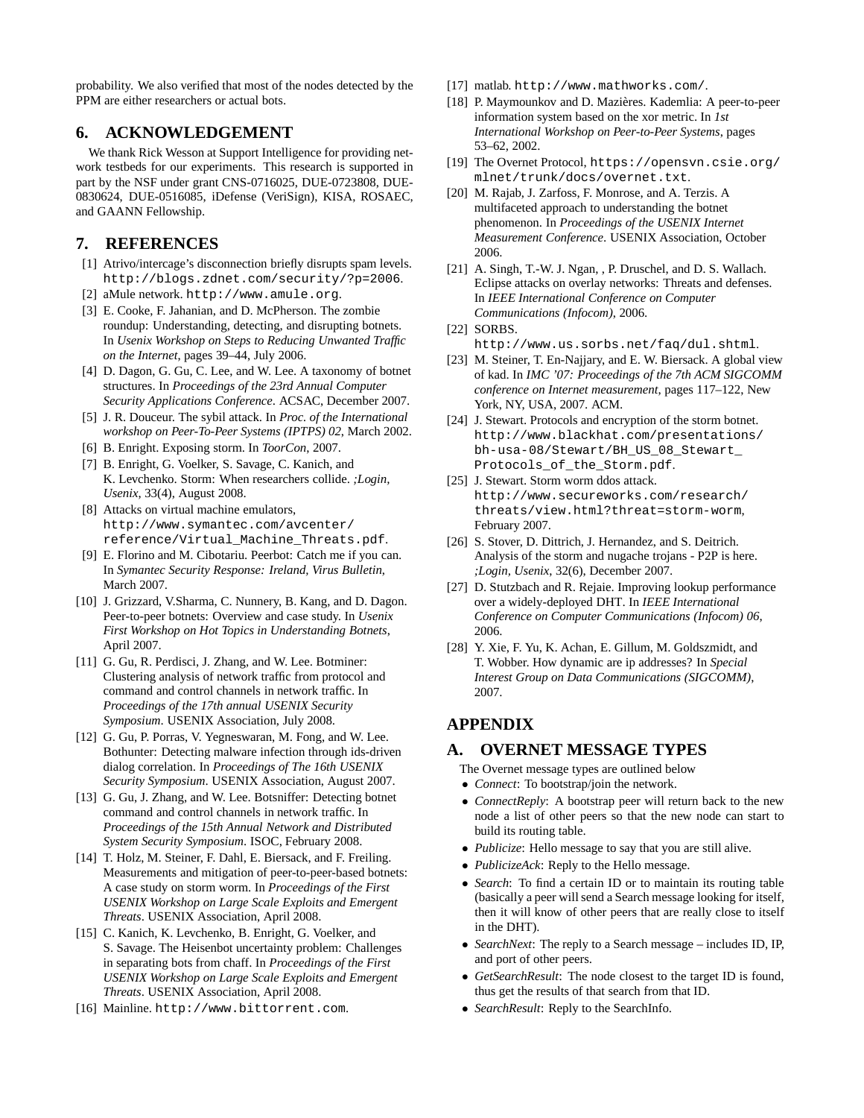probability. We also verified that most of the nodes detected by the PPM are either researchers or actual bots.

# **6. ACKNOWLEDGEMENT**

We thank Rick Wesson at Support Intelligence for providing network testbeds for our experiments. This research is supported in part by the NSF under grant CNS-0716025, DUE-0723808, DUE-0830624, DUE-0516085, iDefense (VeriSign), KISA, ROSAEC, and GAANN Fellowship.

### **7. REFERENCES**

- [1] Atrivo/intercage's disconnection briefly disrupts spam levels. http://blogs.zdnet.com/security/?p=2006.
- [2] aMule network. http://www.amule.org.
- [3] E. Cooke, F. Jahanian, and D. McPherson. The zombie roundup: Understanding, detecting, and disrupting botnets. In *Usenix Workshop on Steps to Reducing Unwanted Traffic on the Internet*, pages 39–44, July 2006.
- [4] D. Dagon, G. Gu, C. Lee, and W. Lee. A taxonomy of botnet structures. In *Proceedings of the 23rd Annual Computer Security Applications Conference*. ACSAC, December 2007.
- [5] J. R. Douceur. The sybil attack. In *Proc. of the International workshop on Peer-To-Peer Systems (IPTPS) 02*, March 2002.
- [6] B. Enright. Exposing storm. In *ToorCon*, 2007.
- [7] B. Enright, G. Voelker, S. Savage, C. Kanich, and K. Levchenko. Storm: When researchers collide. *;Login, Usenix*, 33(4), August 2008.
- [8] Attacks on virtual machine emulators, http://www.symantec.com/avcenter/ reference/Virtual\_Machine\_Threats.pdf.
- [9] E. Florino and M. Cibotariu. Peerbot: Catch me if you can. In *Symantec Security Response: Ireland, Virus Bulletin*, March 2007.
- [10] J. Grizzard, V.Sharma, C. Nunnery, B. Kang, and D. Dagon. Peer-to-peer botnets: Overview and case study. In *Usenix First Workshop on Hot Topics in Understanding Botnets*, April 2007.
- [11] G. Gu, R. Perdisci, J. Zhang, and W. Lee. Botminer: Clustering analysis of network traffic from protocol and command and control channels in network traffic. In *Proceedings of the 17th annual USENIX Security Symposium*. USENIX Association, July 2008.
- [12] G. Gu, P. Porras, V. Yegneswaran, M. Fong, and W. Lee. Bothunter: Detecting malware infection through ids-driven dialog correlation. In *Proceedings of The 16th USENIX Security Symposium*. USENIX Association, August 2007.
- [13] G. Gu, J. Zhang, and W. Lee. Botsniffer: Detecting botnet command and control channels in network traffic. In *Proceedings of the 15th Annual Network and Distributed System Security Symposium*. ISOC, February 2008.
- [14] T. Holz, M. Steiner, F. Dahl, E. Biersack, and F. Freiling. Measurements and mitigation of peer-to-peer-based botnets: A case study on storm worm. In *Proceedings of the First USENIX Workshop on Large Scale Exploits and Emergent Threats*. USENIX Association, April 2008.
- [15] C. Kanich, K. Levchenko, B. Enright, G. Voelker, and S. Savage. The Heisenbot uncertainty problem: Challenges in separating bots from chaff. In *Proceedings of the First USENIX Workshop on Large Scale Exploits and Emergent Threats*. USENIX Association, April 2008.
- [16] Mainline. http://www.bittorrent.com.
- [17] matlab. http://www.mathworks.com/.
- [18] P. Maymounkov and D. Mazières. Kademlia: A peer-to-peer information system based on the xor metric. In *1st International Workshop on Peer-to-Peer Systems*, pages 53–62, 2002.
- [19] The Overnet Protocol, https://opensvn.csie.org/ mlnet/trunk/docs/overnet.txt.
- [20] M. Rajab, J. Zarfoss, F. Monrose, and A. Terzis. A multifaceted approach to understanding the botnet phenomenon. In *Proceedings of the USENIX Internet Measurement Conference*. USENIX Association, October 2006.
- [21] A. Singh, T.-W. J. Ngan, , P. Druschel, and D. S. Wallach. Eclipse attacks on overlay networks: Threats and defenses. In *IEEE International Conference on Computer Communications (Infocom)*, 2006.
- [22] SORBS.
- http://www.us.sorbs.net/faq/dul.shtml.
- [23] M. Steiner, T. En-Najjary, and E. W. Biersack. A global view of kad. In *IMC '07: Proceedings of the 7th ACM SIGCOMM conference on Internet measurement*, pages 117–122, New York, NY, USA, 2007. ACM.
- [24] J. Stewart. Protocols and encryption of the storm botnet. http://www.blackhat.com/presentations/ bh-usa-08/Stewart/BH\_US\_08\_Stewart\_ Protocols\_of\_the\_Storm.pdf.
- [25] J. Stewart. Storm worm ddos attack. http://www.secureworks.com/research/ threats/view.html?threat=storm-worm, February 2007.
- [26] S. Stover, D. Dittrich, J. Hernandez, and S. Deitrich. Analysis of the storm and nugache trojans - P2P is here. *;Login, Usenix*, 32(6), December 2007.
- [27] D. Stutzbach and R. Rejaie. Improving lookup performance over a widely-deployed DHT. In *IEEE International Conference on Computer Communications (Infocom) 06*, 2006.
- [28] Y. Xie, F. Yu, K. Achan, E. Gillum, M. Goldszmidt, and T. Wobber. How dynamic are ip addresses? In *Special Interest Group on Data Communications (SIGCOMM)*, 2007.

# **APPENDIX**

# **A. OVERNET MESSAGE TYPES**

The Overnet message types are outlined below

- *Connect*: To bootstrap/join the network.
- *ConnectReply*: A bootstrap peer will return back to the new node a list of other peers so that the new node can start to build its routing table.
- *Publicize*: Hello message to say that you are still alive.
- *PublicizeAck*: Reply to the Hello message.
- *Search*: To find a certain ID or to maintain its routing table (basically a peer will send a Search message looking for itself, then it will know of other peers that are really close to itself in the DHT).
- *SearchNext*: The reply to a Search message includes ID, IP, and port of other peers.
- *GetSearchResult*: The node closest to the target ID is found, thus get the results of that search from that ID.
- *SearchResult*: Reply to the SearchInfo.